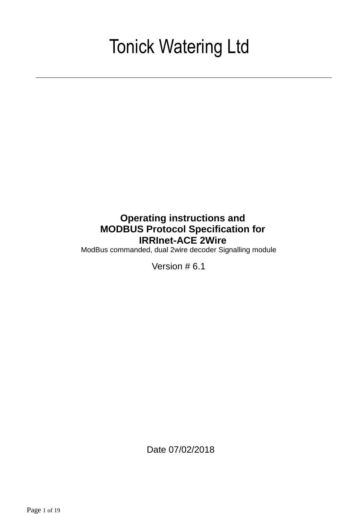# Tonick Watering Ltd

# **Operating instructions and MODBUS Protocol Specification for IRRInet-ACE 2Wire**

ModBus commanded, dual 2wire decoder Signalling module

Version # 6.1

Date 07/02/2018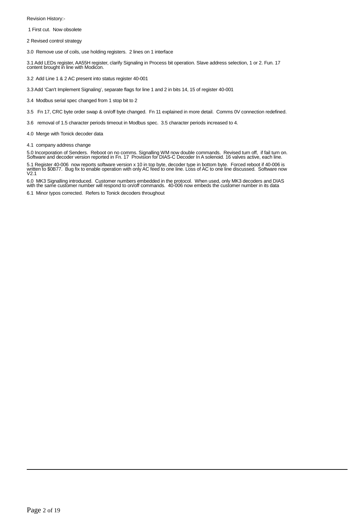Revision History:-

1 First cut. Now obsolete

2 Revised control strategy

3.0 Remove use of coils, use holding registers. 2 lines on 1 interface

3.1 Add LEDs register, AA55H register, clarify Signaling in Process bit operation. Slave address selection, 1 or 2. Fun. 17 content brought in line with Modicon.

3.2 Add Line 1 & 2 AC present into status register 40-001

3.3 Add 'Can't Implement Signaling', separate flags for line 1 and 2 in bits 14, 15 of register 40-001

3.4 Modbus serial spec changed from 1 stop bit to 2

3.5 Fn 17, CRC byte order swap & on/off byte changed. Fn 11 explained in more detail. Comms 0V connection redefined.

3.6 removal of 1.5 character periods timeout in Modbus spec. 3.5 character periods increased to 4.

4.0 Merge with Tonick decoder data

4.1 company address change

5.0 Incorporation of Senders. Reboot on no comms. Signalling WM now double commands. Revised turn off, if fail turn on.<br>Software and decoder version reported in Fn. 17 Provision for DIAS-C Decoder In A solenoid. 16 valv

5.1 Register 40-006 now reports software version x 10 in top byte, decoder type in bottom byte. Forced reboot if 40-006 is<br>written to \$0B77. Bug fix to enable operation with only AC feed to one line. Loss of AC to one line

6.0 MK3 Signalling introduced. Customer numbers embedded in the protocol. When used, only MK3 decoders and DIAS<br>with the same customer number will respond to on/off commands. 40-006 now embeds the customer number in its da

6.1 Minor typos corrected. Refers to Tonick decoders throughout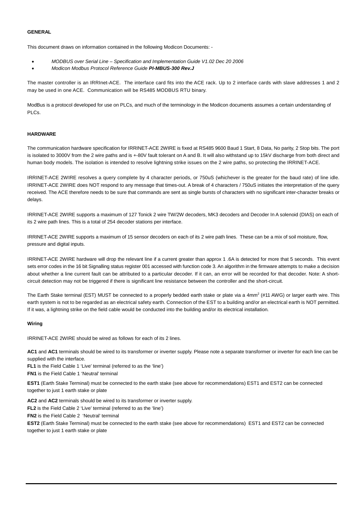#### **GENERAL**

This document draws on information contained in the following Modicon Documents: -

- *MODBUS over Serial Line Specification and Implementation Guide V1.02 Dec 20 2006*
- *Modicon Modbus Protocol Reference Guide PI-MBUS-300 Rev.J*

The master controller is an IRRInet-ACE. The interface card fits into the ACE rack. Up to 2 interface cards with slave addresses 1 and 2 may be used in one ACE. Communication will be RS485 MODBUS RTU binary.

ModBus is a protocol developed for use on PLCs, and much of the terminology in the Modicon documents assumes a certain understanding of PLCs.

#### **HARDWARE**

The communication hardware specification for IRRINET-ACE 2WIRE is fixed at RS485 9600 Baud 1 Start, 8 Data, No parity, 2 Stop bits. The port is isolated to 3000V from the 2 wire paths and is +-80V fault tolerant on A and B. It will also withstand up to 15kV discharge from both direct and human body models. The isolation is intended to resolve lightning strike issues on the 2 wire paths, so protecting the IRRINET-ACE.

IRRINET-ACE 2WIRE resolves a query complete by 4 character periods, or 750uS (whichever is the greater for the baud rate) of line idle. IRRINET-ACE 2WIRE does NOT respond to any message that times-out. A break of 4 characters / 750uS initiates the interpretation of the query received. The ACE therefore needs to be sure that commands are sent as single bursts of characters with no significant inter-character breaks or delays.

IRRINET-ACE 2WIRE supports a maximum of 127 Tonick 2 wire TW/2W decoders, MK3 decoders and Decoder In A solenoid (DIAS) on each of its 2 wire path lines. This is a total of 254 decoder stations per interface.

IRRINET-ACE 2WIRE supports a maximum of 15 sensor decoders on each of its 2 wire path lines. These can be a mix of soil moisture, flow, pressure and digital inputs.

IRRINET-ACE 2WIRE hardware will drop the relevant line if a current greater than approx 1 .6A is detected for more that 5 seconds. This event sets error codes in the 16 bit Signalling status register 001 accessed with function code 3. An algorithm in the firmware attempts to make a decision about whether a line current fault can be attributed to a particular decoder. If it can, an error will be recorded for that decoder. Note: A shortcircuit detection may not be triggered if there is significant line resistance between the controller and the short-circuit.

The Earth Stake terminal (EST) MUST be connected to a properly bedded earth stake or plate via a 4mm<sup>2</sup> (#11 AWG) or larger earth wire. This earth system is not to be regarded as an electrical safety earth. Connection of the EST to a building and/or an electrical earth is NOT permitted. If it was, a lightning strike on the field cable would be conducted into the building and/or its electrical installation.

#### **Wiring**

IRRINET-ACE 2WIRE should be wired as follows for each of its 2 lines.

**AC1** and **AC1** terminals should be wired to its transformer or inverter supply. Please note a separate transformer or inverter for each line can be supplied with the interface.

**FL1** is the Field Cable 1 'Live' terminal (referred to as the 'line')

**FN1** is the Field Cable 1 'Neutral' terminal

**EST1** (Earth Stake Terminal) must be connected to the earth stake (see above for recommendations) EST1 and EST2 can be connected together to just 1 earth stake or plate

**AC2** and **AC2** terminals should be wired to its transformer or inverter supply.

**FL2** is the Field Cable 2 'Live' terminal (referred to as the 'line')

**FN2** is the Field Cable 2 'Neutral' terminal

**EST2** (Earth Stake Terminal) must be connected to the earth stake (see above for recommendations) EST1 and EST2 can be connected together to just 1 earth stake or plate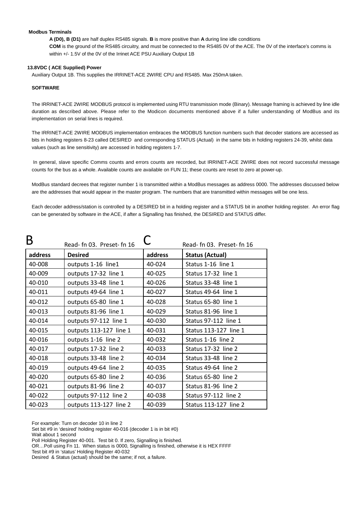#### **Modbus Terminals**

**A (D0), B (D1)** are half duplex RS485 signals. **B** is more positive than **A** during line idle conditions **COM** is the ground of the RS485 circuitry, and must be connected to the RS485 0V of the ACE. The 0V of the interface's comms is within +/- 1.5V of the 0V of the Irrinet ACE PSU Auxiliary Output 1B

#### **13.8VDC ( ACE Supplied) Power**

Auxiliary Output 1B. This supplies the IRRINET-ACE 2WIRE CPU and RS485. Max 250mA taken.

#### **SOFTWARE**

The IRRINET-ACE 2WIRE MODBUS protocol is implemented using RTU transmission mode (Binary). Message framing is achieved by line idle duration as described above. Please refer to the Modicon documents mentioned above if a fuller understanding of ModBus and its implementation on serial lines is required.

The IRRINET-ACE 2WIRE MODBUS implementation embraces the MODBUS function numbers such that decoder stations are accessed as bits in holding registers 8-23 called DESIRED and corresponding STATUS (Actual) in the same bits in holding registers 24-39, whilst data values (such as line sensitivity) are accessed in holding registers 1-7.

 In general, slave specific Comms counts and errors counts are recorded, but IRRINET-ACE 2WIRE does not record successful message counts for the bus as a whole. Available counts are available on FUN 11; these counts are reset to zero at power-up.

ModBus standard decrees that register number 1 is transmitted within a ModBus messages as address 0000. The addresses discussed below are the addresses that would appear in the master program. The numbers that are transmitted within messages will be one less.

Each decoder address/station is controlled by a DESIRED bit in a holding register and a STATUS bit in another holding register. An error flag can be generated by software in the ACE, if after a Signalling has finished, the DESIRED and STATUS differ.

|         | Read- fn 03. Preset- fn 16 |         | Read- fn 03. Preset- fn 16  |
|---------|----------------------------|---------|-----------------------------|
| address | <b>Desired</b>             | address | <b>Status (Actual)</b>      |
| 40-008  | outputs 1-16 line1         | 40-024  | Status 1-16 line 1          |
| 40-009  | outputs 17-32 line 1       | 40-025  | Status 17-32 line 1         |
| 40-010  | outputs 33-48 line 1       | 40-026  | Status 33-48 line 1         |
| 40-011  | outputs 49-64 line 1       | 40-027  | Status 49-64 line 1         |
| 40-012  | outputs 65-80 line 1       | 40-028  | Status 65-80 line 1         |
| 40-013  | outputs 81-96 line 1       | 40-029  | Status 81-96 line 1         |
| 40-014  | outputs 97-112 line 1      | 40-030  | Status 97-112 line 1        |
| 40-015  | outputs 113-127 line 1     | 40-031  | Status 113-127 line 1       |
| 40-016  | outputs 1-16 line 2        | 40-032  | Status 1-16 line 2          |
| 40-017  | outputs 17-32 line 2       | 40-033  | Status 17-32 line 2         |
| 40-018  | outputs 33-48 line 2       | 40-034  | Status 33-48 line 2         |
| 40-019  | outputs 49-64 line 2       | 40-035  | Status 49-64 line 2         |
| 40-020  | outputs 65-80 line 2       | 40-036  | Status 65-80 line 2         |
| 40-021  | outputs 81-96 line 2       | 40-037  | Status 81-96 line 2         |
| 40-022  | outputs 97-112 line 2      | 40-038  | <b>Status 97-112 line 2</b> |
| 40-023  | outputs 113-127 line 2     | 40-039  | Status 113-127 line 2       |

For example: Turn on decoder 10 in line 2

Set bit #9 in 'desired' holding register 40-016 (decoder 1 is in bit #0)

Wait about 1 second

Poll Holding Register 40-001. Test bit 0. If zero, Signalling is finished.

OR…Poll using Fn 11. When status is 0000, Signalling is finished, otherwise it is HEX FFFF

Test bit #9 in 'status' Holding Register 40-032

Desired & Status (actual) should be the same; if not, a failure.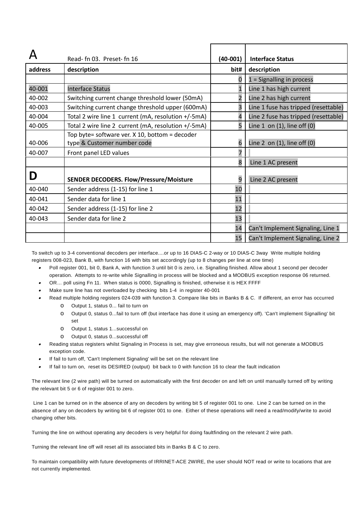|         | Read- fn 03. Preset- fn 16                                                    | $(40-001)$ | <b>Interface Status</b>              |
|---------|-------------------------------------------------------------------------------|------------|--------------------------------------|
| address | description                                                                   | bit#       | description                          |
|         |                                                                               | 0          | $1 =$ Signalling in process          |
| 40-001  | <b>Interface Status</b>                                                       |            | Line 1 has high current              |
| 40-002  | Switching current change threshold lower (50mA)                               |            | Line 2 has high current              |
| 40-003  | Switching current change threshold upper (600mA)                              |            | Line 1 fuse has tripped (resettable) |
| 40-004  | Total 2 wire line 1 current (mA, resolution +/-5mA)                           |            | Line 2 fuse has tripped (resettable) |
| 40-005  | Total 2 wire line 2 current (mA, resolution +/-5mA)                           | 5          | Line $1$ on $(1)$ , line off $(0)$   |
| 40-006  | Top byte= software ver. X 10, bottom = decoder<br>type & Customer number code | 6          | Line 2 on $(1)$ , line off $(0)$     |
| 40-007  | Front panel LED values                                                        |            |                                      |
|         |                                                                               | 8          | Line 1 AC present                    |
| Ŋ       | <b>SENDER DECODERS. Flow/Pressure/Moisture</b>                                | 9          | Line 2 AC present                    |
| 40-040  | Sender address (1-15) for line 1                                              | 10         |                                      |
| 40-041  | Sender data for line 1                                                        | 11         |                                      |
| 40-042  | Sender address (1-15) for line 2                                              | 12         |                                      |
| 40-043  | Sender data for line 2                                                        | 13         |                                      |
|         |                                                                               | 14         | Can't Implement Signaling, Line 1    |
|         |                                                                               | 15         | Can't Implement Signaling, Line 2    |

To switch up to 3-4 conventional decoders per interface....or up to 16 DIAS-C 2-way or 10 DIAS-C 3way Write multiple holding registers 008-023, Bank B, with function 16 with bits set accordingly (up to 8 changes per line at one time)

- • Poll register 001, bit 0, Bank A, with function 3 until bit 0 is zero, i.e. Signalling finished. Allow about 1 second per decoder operation. Attempts to re-write while Signalling in process will be blocked and a MODBUS exception response 06 returned.
- •OR… poll using Fn 11. When status is 0000, Signalling is finished, otherwise it is HEX FFFF
- • Make sure line has not overloaded by checking bits 1-4 in register 40-001
	- Read multiple holding registers 024-039 with function 3. Compare like bits in Banks B & C. If different, an error has occurred o Output 1, status 0... fail to turn on
		- o Output 0, status 0...fail to turn off (but interface has done it using an emergency off). 'Can't implement Signalling' bit set
		- o Output 1, status 1...successful on

•

- o Output 0, status 0...successful off
- • Reading status registers whilst Signaling in Process is set, may give erroneous results, but will not generate a MODBUS exception code.
- •If fail to turn off, 'Can't Implement Signaling' will be set on the relevant line
- •If fail to turn on, reset its DESIRED (output) bit back to 0 with function 16 to clear the fault indication

The relevant line (2 wire path) will be turned on automatically with the first decoder on and left on until manually turned off by writing the relevant bit 5 or 6 of register 001 to zero.

 Line 1 can be turned on in the absence of any on decoders by writing bit 5 of register 001 to one. Line 2 can be turned on in the absence of any on decoders by writing bit 6 of register 001 to one. Either of these operations will need a read/modify/write to avoid changing other bits.

Turning the line on without operating any decoders is very helpful for doing faultfinding on the relevant 2 wire path.

Turning the relevant line off will reset all its associated bits in Banks B & C to zero.

To maintain compatibility with future developments of IRRINET-ACE 2WIRE, the user should NOT read or write to locations that are not currently implemented.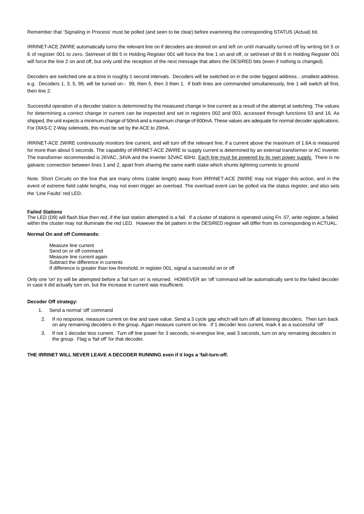Remember that 'Signaling in Process' must be polled (and seen to be clear) before examining the corresponding STATUS (Actual) bit.

IRRINET-ACE 2WIRE automatically turns the relevant line on if decoders are desired on and left on until manually turned off by writing bit 5 or 6 of register 001 to zero. Set/reset of Bit 5 in Holding Register 001 will force the line 1 on and off, or set/reset of Bit 6 in Holding Register 001 will force the line 2 on and off, but only until the reception of the next message that alters the DESIRED bits (even if nothing is changed).

Decoders are switched one at a time in roughly 1 second intervals. Decoders will be switched on in the order biggest address…smallest address. e.g. Decoders 1, 3, 5, 99, will be turned on:- 99, then 5, then 3 then 1. If both lines are commanded simultaneously, line 1 will switch all first, then line 2.

Successful operation of a decoder station is determined by the measured change in line current as a result of the attempt at switching. The values for determining a correct change in current can be inspected and set in registers 002 and 003, accessed through functions 03 and 16. As shipped, the unit expects a minimum change of 50mA and a maximum change of 600mA. These values are adequate for normal decoder applications. For DIAS-C 2-Way solenoids, this must be set by the ACE to 20mA.

IRRINET-ACE 2WIRE continuously monitors line current, and will turn off the relevant line, if a current above the maximum of 1.6A is measured for more than about 5 seconds. The capability of IRRINET-ACE 2WIRE to supply current is determined by an external transformer or AC inverter. The transformer recommended is 26VAC, 34VA and the inverter 32VAC 60Hz. Each line must be powered by its own power supply. There is no galvanic connection between lines 1 and 2, apart from sharing the same earth stake which shunts lightning currents to ground

Note. Short Circuits on the line that are many ohms (cable length) away from IRRINET-ACE 2WIRE may not trigger this action, and in the event of extreme field cable lengths, may not even trigger an overload. The overload event can be polled via the status register, and also sets the 'Line Faults' red LED.

#### **Failed Stations**

The LED (D9) will flash blue then red, if the last station attempted is a fail. If a cluster of stations is operated using Fn. 07, write register, a failed within the cluster may not illuminate the red LED. However the bit pattern in the DESIRED register will differ from its corresponding in ACTUAL.

#### **Normal On and off Commands:**

Measure line current Send on or off command Measure line current again Subtract the difference in currents If difference is greater than low threshold, in register 001, signal a successful on or off

Only one 'on' try will be attempted before a 'fail turn on' is returned. HOWEVER an 'off 'command will be automatically sent to the failed decoder in case it did actually turn on, but the increase in current was insufficient.

#### **Decoder Off strategy:**

1. Send a normal 'off' command

- 2. If no response, measure current on line and save value. Send a 3 cycle gap which will turn off all listening decoders. Then turn back on any remaining decoders in the group. Again measure current on line. If 1 decoder less current, mark it as a successful 'off'
- 3. If not 1 decoder less current. Turn off line power for 3 seconds, re-energise line, wait 3 seconds, turn on any remaining decoders in the group. Flag a 'fail off' for that decoder.

#### **THE IRRINET WILL NEVER LEAVE A DECODER RUNNING even if it logs a 'fail-turn-off.**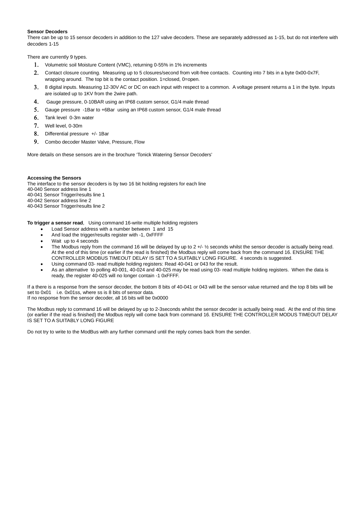#### **Sensor Decoders**

There can be up to 15 sensor decoders in addition to the 127 valve decoders. These are separately addressed as 1-15, but do not interfere with decoders 1-15

There are currently 9 types.

- 1. Volumetric soil Moisture Content (VMC), returning 0-55% in 1% increments
- 2. Contact closure counting. Measuring up to 5 closures/second from volt-free contacts. Counting into 7 bits in a byte 0x00-0x7F, wrapping around. The top bit is the contact position. 1=closed, 0=open.
- 3. 8 digital inputs. Measuring 12-30V AC or DC on each input with respect to a common. A voltage present returns a 1 in the byte. Inputs are isolated up to 1KV from the 2wire path.
- 4. Gauge pressure, 0-10BAR using an IP68 custom sensor, G1/4 male thread
- 5. Gauge pressure -1Bar to +6Bar using an IP68 custom sensor, G1/4 male thread
- 6. Tank level 0-3m water
- 7. Well level, 0-30m
- 8. Differential pressure +/- 1Bar
- 9. Combo decoder Master Valve, Pressure, Flow

More details on these sensors are in the brochure 'Tonick Watering Sensor Decoders'

#### **Accessing the Sensors**

The interface to the sensor decoders is by two 16 bit holding registers for each line 40-040 Sensor address line 1 40-041 Sensor Trigger/results line 1 40-042 Sensor address line 2 40-043 Sensor Trigger/results line 2

**To trigger a sensor read**, Using command 16-write multiple holding registers

- Load Sensor address with a number between 1 and 15
- And load the trigger/results register with -1, 0xFFFF
- Wait up to 4 seconds
- The Modbus reply from the command 16 will be delayed by up to  $2 +/-\frac{1}{2}$  seconds whilst the sensor decoder is actually being read. At the end of this time (or earlier if the read is finished) the Modbus reply will come back from the command 16. ENSURE THE CONTROLLER MODBUS TIMEOUT DELAY IS SET TO A SUITABLY LONG FIGURE. 4 seconds is suggested.
- Using command 03- read multiple holding registers: Read 40-041 or 043 for the result.
- As an alternative to polling 40-001, 40-024 and 40-025 may be read using 03- read multiple holding registers. When the data is ready, the register 40-025 will no longer contain -1 0xFFFF.

If a there is a response from the sensor decoder, the bottom 8 bits of 40-041 or 043 will be the sensor value returned and the top 8 bits will be set to 0x01 i.e. 0x01ss, where ss is 8 bits of sensor data. If no response from the sensor decoder, all 16 bits will be 0x0000

The Modbus reply to command 16 will be delayed by up to 2-3seconds whilst the sensor decoder is actually being read. At the end of this time (or earlier if the read is finished) the Modbus reply will come back from command 16. ENSURE THE CONTROLLER MODUS TIMEOUT DELAY IS SET TO A SUITABLY LONG FIGURE

Do not try to write to the ModBus with any further command until the reply comes back from the sender.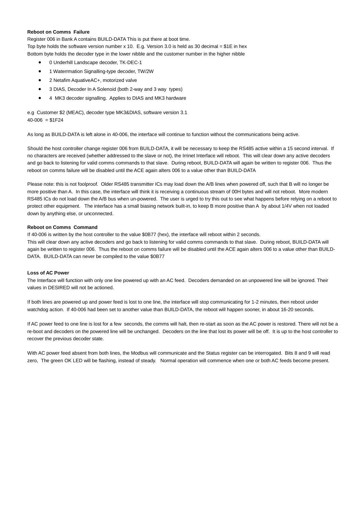#### **Reboot on Comms Failure**

Register 006 in Bank A contains BUILD-DATA This is put there at boot time.

Top byte holds the software version number x 10. E.g. Version 3.0 is held as 30 decimal = \$1E in hex Bottom byte holds the decoder type in the lower nibble and the customer number in the higher nibble

- 0 Underhill Landscape decoder, TK-DEC-1
- 1 Waterrmation Signalling-type decoder, TW/2W
- 2 Netafim AquativeAC+, motorized valve
- 3 DIAS, Decoder In A Solenoid (both 2-way and 3 way types)
- 4 MK3 decoder signalling. Applies to DIAS and MK3 hardware

e.g Customer \$2 (MEAC), decoder type MK3&DIAS, software version 3.1  $40-006 = $1F24$ 

As long as BUILD-DATA is left alone in 40-006, the interface will continue to function without the communications being active.

Should the host controller change register 006 from BUILD-DATA, it will be necessary to keep the RS485 active within a 15 second interval. If no characters are received (whether addressed to the slave or not), the Irrinet Interface will reboot. This will clear down any active decoders and go back to listening for valid comms commands to that slave. During reboot, BUILD-DATA will again be written to register 006. Thus the reboot on comms failure will be disabled until the ACE again alters 006 to a value other than BUILD-DATA

Please note: this is not foolproof. Older RS485 transmitter ICs may load down the A/B lines when powered off, such that B will no longer be more positive than A. In this case, the interface will think it is receiving a continuous stream of 00H bytes and will not reboot. More modern RS485 ICs do not load down the A/B bus when un-powered. The user is urged to try this out to see what happens before relying on a reboot to protect other equipment. The interface has a small biasing network built-in, to keep B more positive than A by about 1/4V when not loaded down by anything else, or unconnected.

### **Reboot on Comms Command**

If 40-006 is written by the host controller to the value \$0B77 (hex), the interface will reboot within 2 seconds. This will clear down any active decoders and go back to listening for valid comms commands to that slave. During reboot, BUILD-DATA will again be written to register 006. Thus the reboot on comms failure will be disabled until the ACE again alters 006 to a value other than BUILD-DATA. BUILD-DATA can never be compiled to the value \$0B77

#### **Loss of AC Power**

The Interface will function with only one line powered up with an AC feed. Decoders demanded on an unpowered line will be ignored. Their values in DESIRED will not be actioned.

If both lines are powered up and power feed is lost to one line, the interface will stop communicating for 1-2 minutes, then reboot under watchdog action. If 40-006 had been set to another value than BUILD-DATA, the reboot will happen sooner, in about 16-20 seconds.

If AC power feed to one line is lost for a few seconds, the comms will halt, then re-start as soon as the AC power is restored. There will not be a re-boot and decoders on the powered line will be unchanged. Decoders on the line that lost its power will be off. It is up to the host controller to recover the previous decoder state.

With AC power feed absent from both lines, the Modbus will communicate and the Status register can be interrogated. Bits 8 and 9 will read zero, The green OK LED will be flashing, instead of steady. Normal operation will commence when one or both AC feeds become present.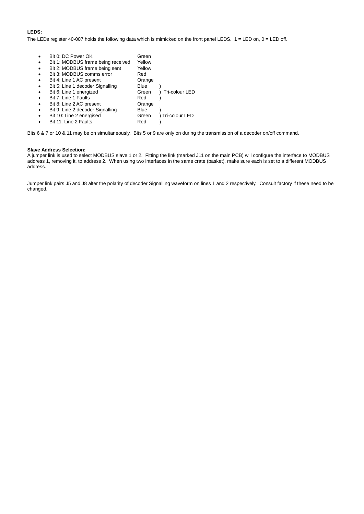### **LEDS:**

The LEDs register 40-007 holds the following data which is mimicked on the front panel LEDS.  $1 =$  LED on,  $0 =$  LED off.

|           | Bit 0: DC Power OK                 | Green  |                  |
|-----------|------------------------------------|--------|------------------|
|           |                                    |        |                  |
| $\bullet$ | Bit 1: MODBUS frame being received | Yellow |                  |
| $\bullet$ | Bit 2: MODBUS frame being sent     | Yellow |                  |
| $\bullet$ | Bit 3: MODBUS comms error          | Red    |                  |
| $\bullet$ | Bit 4: Line 1 AC present           | Orange |                  |
| $\bullet$ | Bit 5: Line 1 decoder Signalling   | Blue   |                  |
| $\bullet$ | Bit 6: Line 1 energized            | Green  | ) Tri-colour LED |
| $\bullet$ | Bit 7: Line 1 Faults               | Red    |                  |
| $\bullet$ | Bit 8: Line 2 AC present           | Orange |                  |
| $\bullet$ | Bit 9: Line 2 decoder Signalling   | Blue   |                  |
| $\bullet$ | Bit 10: Line 2 energised           | Green  | ) Tri-colour LED |
|           | Bit 11: Line 2 Faults              | Red    |                  |

Bits 6 & 7 or 10 & 11 may be on simultaneously. Bits 5 or 9 are only on during the transmission of a decoder on/off command.

### **Slave Address Selection:**

A jumper link is used to select MODBUS slave 1 or 2. Fitting the link (marked J11 on the main PCB) will configure the interface to MODBUS address 1, removing it, to address 2. When using two interfaces in the same crate (basket), make sure each is set to a different MODBUS address.

Jumper link pairs J5 and J8 alter the polarity of decoder Signalling waveform on lines 1 and 2 respectively. Consult factory if these need to be changed.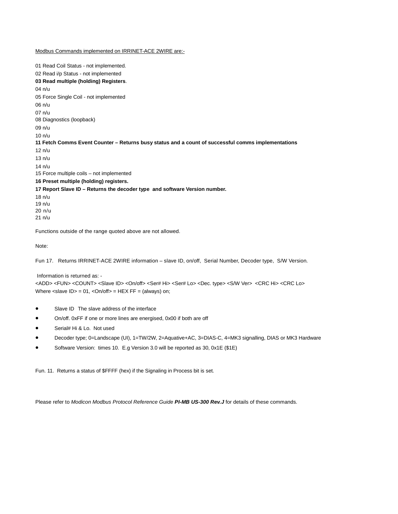#### Modbus Commands implemented on IRRINET-ACE 2WIRE are:-

01 Read Coil Status - not implemented. 02 Read i/p Status - not implemented **03 Read multiple (holding) Registers**. 04 n/u 05 Force Single Coil - not implemented 06 n/u 07 n/u 08 Diagnostics (loopback) 09 n/u 10 n/u **11 Fetch Comms Event Counter – Returns busy status and a count of successful comms implementations**  12 n/u 13 n/u 14 n/u 15 Force multiple coils – not implemented **16 Preset multiple (holding) registers. 17 Report Slave ID – Returns the decoder type and software Version number.**  18 n/u 19 n/u 20 n/u

21 n/u

Functions outside of the range quoted above are not allowed.

Note:

Fun 17. Returns IRRINET-ACE 2WIRE information – slave ID, on/off, Serial Number, Decoder type, S/W Version.

#### Information is returned as: -

<ADD> <FUN> <COUNT> <Slave ID> <On/off> <Ser# Hi> <Ser# Lo> <Dec. type> <S/W Ver> <CRC Hi> <CRC Lo> Where  $\langle$ slave ID $\rangle$  = 01,  $\langle$ On/off $\rangle$  = HEX FF = (always) on;

- Slave ID The slave address of the interface
- On/off. 0xFF if one or more lines are energised, 0x00 if both are off
- Serial# Hi & Lo. Not used
- Decoder type; 0=Landscape (UI), 1=TW/2W, 2=Aquative+AC, 3=DIAS-C, 4=MK3 signalling, DIAS or MK3 Hardware
- Software Version: times 10. E.g Version 3.0 will be reported as 30, 0x1E (\$1E)

Fun. 11. Returns a status of \$FFFF (hex) if the Signaling in Process bit is set.

Please refer to *Modicon Modbus Protocol Reference Guide PI-MB US-300 Rev.J* for details of these commands.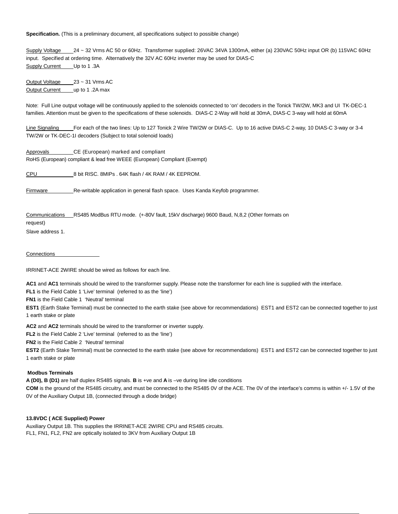**Specification.** (This is a preliminary document, all specifications subject to possible change)

Supply Voltage 24 ~ 32 Vrms AC 50 or 60Hz. Transformer supplied: 26VAC 34VA 1300mA, either (a) 230VAC 50Hz input OR (b) 115VAC 60Hz input. Specified at ordering time. Alternatively the 32V AC 60Hz inverter may be used for DIAS-C Supply Current Up to 1.3A

Output Voltage 23 ~ 31 Vrms AC Output Current up to 1.2A max

Note: Full Line output voltage will be continuously applied to the solenoids connected to 'on' decoders in the Tonick TW/2W, MK3 and UI TK-DEC-1 families. Attention must be given to the specifications of these solenoids. DIAS-C 2-Way will hold at 30mA, DIAS-C 3-way will hold at 60mA

Line Signaling \_\_\_\_ For each of the two lines: Up to 127 Tonick 2 Wire TW/2W or DIAS-C. Up to 16 active DIAS-C 2-way, 10 DIAS-C 3-way or 3-4 TW/2W or TK-DEC-1I decoders (Subject to total solenoid loads)

Approvals CE (European) marked and compliant RoHS (European) compliant & lead free WEEE (European) Compliant (Exempt)

CPU 8 bit RISC. 8MIPs . 64K flash / 4K RAM / 4K EEPROM.

Firmware Re-writable application in general flash space. Uses Kanda Keyfob programmer.

Communications RS485 ModBus RTU mode. (+-80V fault, 15kV discharge) 9600 Baud, N,8,2 (Other formats on

request)

Slave address 1.

#### **Connections**

IRRINET-ACE 2WIRE should be wired as follows for each line.

**AC1** and **AC1** terminals should be wired to the transformer supply. Please note the transformer for each line is supplied with the interface.

**FL1** is the Field Cable 1 'Live' terminal (referred to as the 'line')

**FN1** is the Field Cable 1 'Neutral' terminal

**EST1** (Earth Stake Terminal) must be connected to the earth stake (see above for recommendations) EST1 and EST2 can be connected together to just 1 earth stake or plate

**AC2** and **AC2** terminals should be wired to the transformer or inverter supply.

**FL2** is the Field Cable 2 'Live' terminal (referred to as the 'line')

**FN2** is the Field Cable 2 'Neutral' terminal

**EST2** (Earth Stake Terminal) must be connected to the earth stake (see above for recommendations) EST1 and EST2 can be connected together to just 1 earth stake or plate

#### **Modbus Terminals**

**A (D0), B (D1)** are half duplex RS485 signals. **B** is +ve and **A** is –ve during line idle conditions

**COM** is the ground of the RS485 circuitry, and must be connected to the RS485 0V of the ACE. The 0V of the interface's comms is within +/- 1.5V of the 0V of the Auxiliary Output 1B, (connected through a diode bridge)

#### **13.8VDC ( ACE Supplied) Power**

Auxiliary Output 1B. This supplies the IRRINET-ACE 2WIRE CPU and RS485 circuits. FL1, FN1, FL2, FN2 are optically isolated to 3KV from Auxiliary Output 1B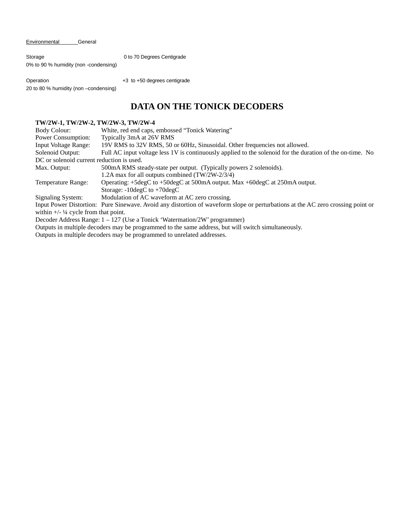Environmental General

Storage 0 to 70 Degrees Centigrade 0% to 90 % humidity (non -condensing)

Operation +3 to +50 degrees centigrade 20 to 80 % humidity (non –condensing)

## **DATA ON THE TONICK DECODERS**

### **TW/2W-1, TW/2W-2, TW/2W-3, TW/2W-4**

| Body Colour:                                                                                        | White, red end caps, embossed "Tonick Watering"                                                                                 |  |  |  |
|-----------------------------------------------------------------------------------------------------|---------------------------------------------------------------------------------------------------------------------------------|--|--|--|
| Power Consumption:                                                                                  | Typically 3mA at 26V RMS                                                                                                        |  |  |  |
| <b>Input Voltage Range:</b>                                                                         | 19V RMS to 32V RMS, 50 or 60Hz, Sinusoidal. Other frequencies not allowed.                                                      |  |  |  |
| Solenoid Output:                                                                                    | Full AC input voltage less 1V is continuously applied to the solenoid for the duration of the on-time. No                       |  |  |  |
| DC or solenoid current reduction is used.                                                           |                                                                                                                                 |  |  |  |
| Max. Output:                                                                                        | 500mA RMS steady-state per output. (Typically powers 2 solenoids).                                                              |  |  |  |
|                                                                                                     | 1.2A max for all outputs combined (TW/2W-2/3/4)                                                                                 |  |  |  |
| Temperature Range:                                                                                  | Operating: +5degC to +50degC at 500mA output. Max +60degC at 250mA output.                                                      |  |  |  |
|                                                                                                     | Storage: $-10 \text{deg}C$ to $+70 \text{deg}C$                                                                                 |  |  |  |
| Signaling System:                                                                                   | Modulation of AC waveform at AC zero crossing.                                                                                  |  |  |  |
|                                                                                                     | Input Power Distortion: Pure Sinewave. Avoid any distortion of waveform slope or perturbations at the AC zero crossing point or |  |  |  |
| within $\frac{1}{4}$ cycle from that point.                                                         |                                                                                                                                 |  |  |  |
| Decoder Address Range: $1 - 127$ (Use a Tonick 'Watermation/2W' programmer)                         |                                                                                                                                 |  |  |  |
| Outputs in multiple decoders may be programmed to the same address, but will switch simultaneously. |                                                                                                                                 |  |  |  |

Outputs in multiple decoders may be programmed to unrelated addresses.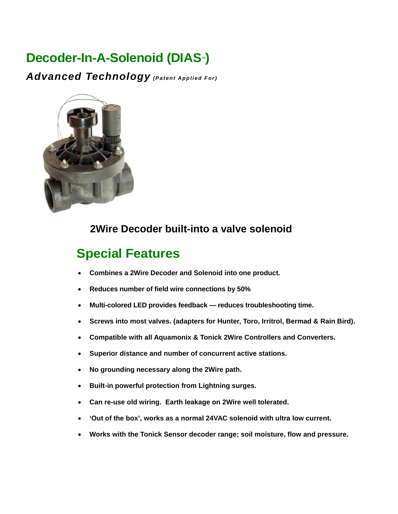# **Decoder-In-A-Solenoid (DIAS™)**

*Advanced Technology* (Patent Applied For)



# **2Wire Decoder built-into a valve solenoid**

# **Special Features**

- **Combines a 2Wire Decoder and Solenoid into one product.**
- **Reduces number of field wire connections by 50%**
- **Multi-colored LED provides feedback reduces troubleshooting time.**
- **Screws into most valves. (adapters for Hunter, Toro, Irritrol, Bermad & Rain Bird).**
- **Compatible with all Aquamonix & Tonick 2Wire Controllers and Converters.**
- **Superior distance and number of concurrent active stations.**
- **No grounding necessary along the 2Wire path.**
- **Built-in powerful protection from Lightning surges.**
- **Can re-use old wiring. Earth leakage on 2Wire well tolerated.**
- **'Out of the box', works as a normal 24VAC solenoid with ultra low current.**
- **Works with the Tonick Sensor decoder range; soil moisture, flow and pressure.**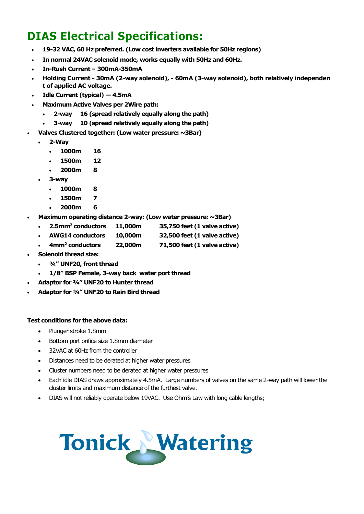# **DIAS Electrical Specifications:**

- **19-32 VAC, 60 Hz preferred. (Low cost inverters available for 50Hz regions)**
- **In normal 24VAC solenoid mode, works equally with 50Hz and 60Hz.**
- **In-Rush Current 300mA-350mA**
- **Holding Current 30mA (2-way solenoid), 60mA (3-way solenoid), both relatively independen t of applied AC voltage.**
- **Idle Current (typical) 4.5mA**
- **Maximum Active Valves per 2Wire path:** 
	- **2-way 16 (spread relatively equally along the path)**
	- **3-way 10 (spread relatively equally along the path)**
- **Valves Clustered together: (Low water pressure: ~3Bar)** 
	- **2-Way** 
		- **1000m 16**
		- **1500m 12**
		- **2000m 8**
	- **3-way** 
		- **1000m 8**
		- **1500m 7**
		- **2000m 6**
- **Maximum operating distance 2-way: (Low water pressure: ~3Bar)** 
	- **2.5mm<sup>2</sup> conductors 11,000m 35,750 feet (1 valve active)**
	- **AWG14 conductors 10,000m 32,500 feet (1 valve active)**
	- **4mm<sup>2</sup> conductors 22,000m 71,500 feet (1 valve active)**
- **Solenoid thread size:** 
	- **¾" UNF20, front thread**
	- **1/8" BSP Female, 3-way back water port thread**
- **Adaptor for ¾" UNF20 to Hunter thread**
- **Adaptor for ¾" UNF20 to Rain Bird thread**

### **Test conditions for the above data:**

- Plunger stroke 1.8mm
- Bottom port orifice size 1.8mm diameter
- 32VAC at 60Hz from the controller
- Distances need to be derated at higher water pressures
- Cluster numbers need to be derated at higher water pressures
- Each idle DIAS draws approximately 4.5mA. Large numbers of valves on the same 2-way path will lower the cluster limits and maximum distance of the furthest valve.
- DIAS will not reliably operate below 19VAC. Use Ohm's Law with long cable lengths;

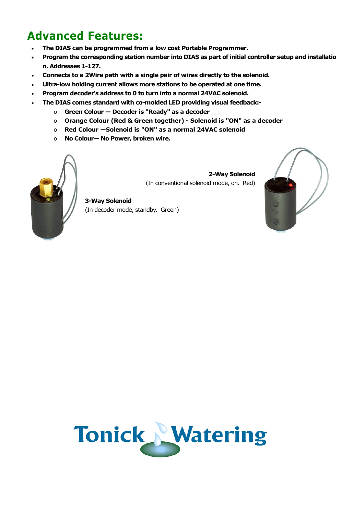# **Advanced Features:**

- **The DIAS can be programmed from a low cost Portable Programmer.**
- **Program the corresponding station number into DIAS as part of initial controller setup and installatio n. Addresses 1-127.**
- **Connects to a 2Wire path with a single pair of wires directly to the solenoid.**
- **Ultra-low holding current allows more stations to be operated at one time.**
- **Program decoder's address to 0 to turn into a normal 24VAC solenoid.**
- **The DIAS comes standard with co-molded LED providing visual feedback:** 
	- o **Green Colour Decoder is "Ready" as a decoder**
	- o **Orange Colour (Red & Green together) Solenoid is "ON" as a decoder**
	- o **Red Colour —Solenoid is "ON" as a normal 24VAC solenoid**
	- o **No Colour— No Power, broken wire.**



**2-Way Solenoid**  (In conventional solenoid mode, on. Red)

**3-Way Solenoid**  (In decoder mode, standby. Green)



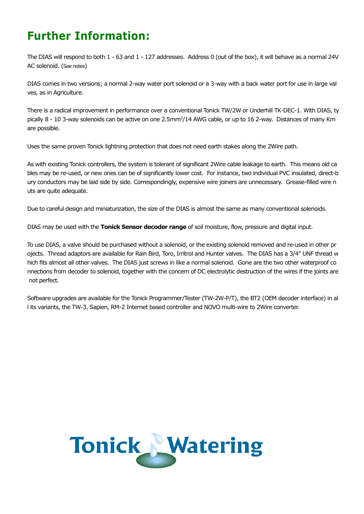# **Further Information:**

The DIAS will respond to both 1 - 63 and 1 - 127 addresses. Address 0 (out of the box), it will behave as a normal 24V AC solenoid. (See notes)

DIAS comes in two versions; a normal 2-way water port solenoid or a 3-way with a back water port for use in large val ves, as in Agriculture.

There is a radical improvement in performance over a conventional Tonick TW/2W or Underhill TK-DEC-1. With DIAS, ty pically 8 - 10 3-way solenoids can be active on one 2.5mm<sup>2</sup>/14 AWG cable, or up to 16 2-way. Distances of many Km are possible.

Uses the same proven Tonick lightning protection that does not need earth stakes along the 2Wire path.

As with existing Tonick controllers, the system is tolerant of significant 2Wire cable leakage to earth. This means old ca bles may be re-used, or new ones can be of significantly lower cost. For instance, two individual PVC insulated, direct-b ury conductors may be laid side by side. Correspondingly, expensive wire joiners are unnecessary. Grease-filled wire n uts are quite adequate.

Due to careful design and miniaturization, the size of the DIAS is almost the same as many conventional solenoids.

DIAS may be used with the **Tonick Sensor decoder range** of soil moisture, flow, pressure and digital input.

To use DIAS, a valve should be purchased without a solenoid, or the existing solenoid removed and re-used in other pr ojects. Thread adaptors are available for Rain Bird, Toro, Irritrol and Hunter valves. The DIAS has a 3/4" UNF thread w hich fits almost all other valves. The DIAS just screws in like a normal solenoid. Gone are the two other waterproof co nnections from decoder to solenoid, together with the concern of DC electrolytic destruction of the wires if the joints are not perfect.

Software upgrades are available for the Tonick Programmer/Tester (TW-2W-P/T), the BT2 (OEM decoder interface) in al l its variants, the TW-3, Sapien, RM-2 Internet based controller and NOVO multi-wire to 2Wire converter.

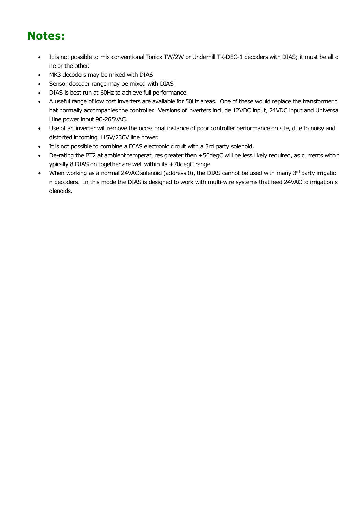# **Notes:**

- It is not possible to mix conventional Tonick TW/2W or Underhill TK-DEC-1 decoders with DIAS; it must be all o ne or the other.
- MK3 decoders may be mixed with DIAS
- Sensor decoder range may be mixed with DIAS
- DIAS is best run at 60Hz to achieve full performance.
- A useful range of low cost inverters are available for 50Hz areas. One of these would replace the transformer t hat normally accompanies the controller. Versions of inverters include 12VDC input, 24VDC input and Universa l line power input 90-265VAC.
- Use of an inverter will remove the occasional instance of poor controller performance on site, due to noisy and distorted incoming 115V/230V line power.
- It is not possible to combine a DIAS electronic circuit with a 3rd party solenoid.
- De-rating the BT2 at ambient temperatures greater then +50degC will be less likely required, as currents with t ypically 8 DIAS on together are well within its +70degC range
- When working as a normal 24VAC solenoid (address 0), the DIAS cannot be used with many  $3<sup>rd</sup>$  party irrigatio n decoders. In this mode the DIAS is designed to work with multi-wire systems that feed 24VAC to irrigation s olenoids.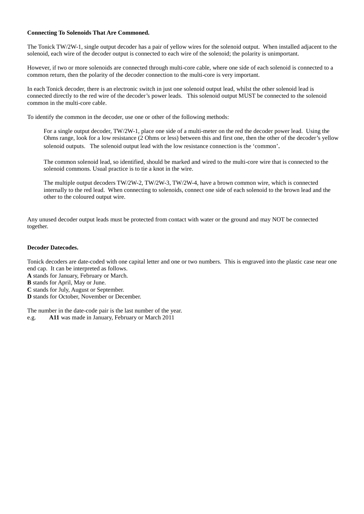### **Connecting To Solenoids That Are Commoned.**

The Tonick TW/2W-1, single output decoder has a pair of yellow wires for the solenoid output. When installed adjacent to the solenoid, each wire of the decoder output is connected to each wire of the solenoid; the polarity is unimportant.

However, if two or more solenoids are connected through multi-core cable, where one side of each solenoid is connected to a common return, then the polarity of the decoder connection to the multi-core is very important.

In each Tonick decoder, there is an electronic switch in just one solenoid output lead, whilst the other solenoid lead is connected directly to the red wire of the decoder's power leads. This solenoid output MUST be connected to the solenoid common in the multi-core cable.

To identify the common in the decoder, use one or other of the following methods:

For a single output decoder, TW/2W-1, place one side of a multi-meter on the red the decoder power lead. Using the Ohms range, look for a low resistance (2 Ohms or less) between this and first one, then the other of the decoder's yellow solenoid outputs. The solenoid output lead with the low resistance connection is the 'common'.

The common solenoid lead, so identified, should be marked and wired to the multi-core wire that is connected to the solenoid commons. Usual practice is to tie a knot in the wire.

The multiple output decoders TW/2W-2, TW/2W-3, TW/2W-4, have a brown common wire, which is connected internally to the red lead. When connecting to solenoids, connect one side of each solenoid to the brown lead and the other to the coloured output wire.

Any unused decoder output leads must be protected from contact with water or the ground and may NOT be connected together.

### **Decoder Datecodes.**

Tonick decoders are date-coded with one capital letter and one or two numbers. This is engraved into the plastic case near one end cap. It can be interpreted as follows. **A** stands for January, February or March.

**B** stands for April, May or June.

**C** stands for July, August or September.

**D** stands for October, November or December.

The number in the date-code pair is the last number of the year. e.g. **A11** was made in January, February or March 2011